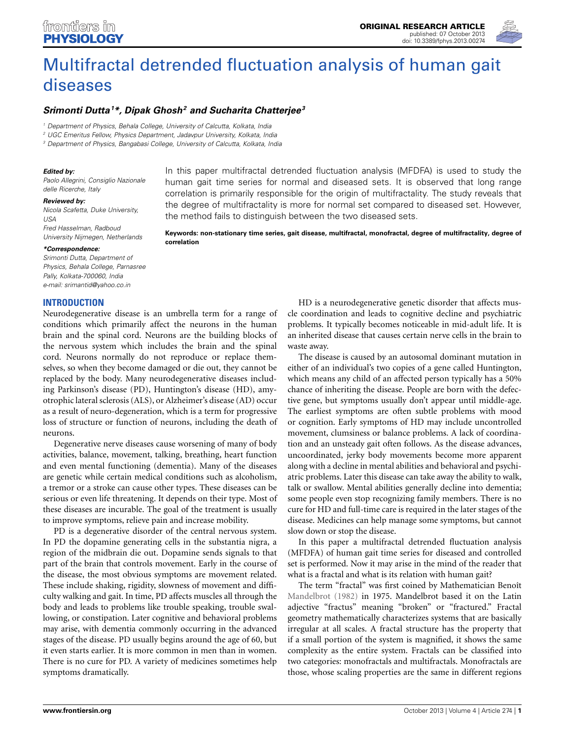

# [Multifractal detrended fluctuation analysis of human gait](www.frontiersin.org/journal/10.3389/fphys.2013.00274/abstract) diseases

## *[Srimonti Dutta1](http://www.frontiersin.org/Community/WhosWhoActivity.aspx?sname=SrimontiDutta&UID=94587) \*, Dipak Ghosh2 and Sucharita Chatterjee3*

*<sup>1</sup> Department of Physics, Behala College, University of Calcutta, Kolkata, India*

*<sup>2</sup> UGC Emeritus Fellow, Physics Department, Jadavpur University, Kolkata, India*

*<sup>3</sup> Department of Physics, Bangabasi College, University of Calcutta, Kolkata, India*

#### *Edited by:*

*Paolo Allegrini, Consiglio Nazionale delle Ricerche, Italy*

#### *Reviewed by:*

*Nicola Scafetta, Duke University, USA Fred Hasselman, Radboud University Nijmegen, Netherlands*

#### *\*Correspondence:*

*Srimonti Dutta, Department of Physics, Behala College, Parnasree Pally, Kolkata-700060, India e-mail: [srimantid@yahoo.co.in](mailto:srimantid@yahoo.co.in)*

## **INTRODUCTION**

Neurodegenerative disease is an umbrella term for a range of conditions which primarily affect the neurons in the human brain and the spinal cord. Neurons are the building blocks of the nervous system which includes the brain and the spinal cord. Neurons normally do not reproduce or replace themselves, so when they become damaged or die out, they cannot be replaced by the body. Many neurodegenerative diseases including Parkinson's disease (PD), Huntington's disease (HD), amyotrophic lateral sclerosis (ALS), or Alzheimer's disease (AD) occur as a result of neuro-degeneration, which is a term for progressive loss of structure or function of neurons, including the death of neurons.

Degenerative nerve diseases cause worsening of many of body activities, balance, movement, talking, breathing, heart function and even mental functioning (dementia). Many of the diseases are genetic while certain medical conditions such as alcoholism, a tremor or a stroke can cause other types. These diseases can be serious or even life threatening. It depends on their type. Most of these diseases are incurable. The goal of the treatment is usually to improve symptoms, relieve pain and increase mobility.

PD is a degenerative disorder of the central nervous system. In PD the dopamine generating cells in the substantia nigra, a region of the midbrain die out. Dopamine sends signals to that part of the brain that controls movement. Early in the course of the disease, the most obvious symptoms are movement related. These include shaking, rigidity, slowness of movement and difficulty walking and gait. In time, PD affects muscles all through the body and leads to problems like trouble speaking, trouble swallowing, or constipation. Later cognitive and behavioral problems may arise, with dementia commonly occurring in the advanced stages of the disease. PD usually begins around the age of 60, but it even starts earlier. It is more common in men than in women. There is no cure for PD. A variety of medicines sometimes help symptoms dramatically.

In this paper multifractal detrended fluctuation analysis (MFDFA) is used to study the human gait time series for normal and diseased sets. It is observed that long range correlation is primarily responsible for the origin of multifractality. The study reveals that the degree of multifractality is more for normal set compared to diseased set. However, the method fails to distinguish between the two diseased sets.

**Keywords: non-stationary time series, gait disease, multifractal, monofractal, degree of multifractality, degree of correlation**

> HD is a neurodegenerative genetic disorder that affects muscle coordination and leads to cognitive decline and psychiatric problems. It typically becomes noticeable in mid-adult life. It is an inherited disease that causes certain nerve cells in the brain to waste away.

> The disease is caused by an autosomal dominant mutation in either of an individual's two copies of a gene called Huntington, which means any child of an affected person typically has a 50% chance of inheriting the disease. People are born with the defective gene, but symptoms usually don't appear until middle-age. The earliest symptoms are often subtle problems with mood or cognition. Early symptoms of HD may include uncontrolled movement, clumsiness or balance problems. A lack of coordination and an unsteady gait often follows. As the disease advances, uncoordinated, jerky body movements become more apparent along with a decline in mental abilities and behavioral and psychiatric problems. Later this disease can take away the ability to walk, talk or swallow. Mental abilities generally decline into dementia; some people even stop recognizing family members. There is no cure for HD and full-time care is required in the later stages of the disease. Medicines can help manage some symptoms, but cannot slow down or stop the disease.

> In this paper a multifractal detrended fluctuation analysis (MFDFA) of human gait time series for diseased and controlled set is performed. Now it may arise in the mind of the reader that what is a fractal and what is its relation with human gait?

> The term "fractal" was first coined by Mathematician Benoît [Mandelbrot](#page-6-0) [\(1982\)](#page-6-0) in 1975. Mandelbrot based it on the Latin adjective "fractus" meaning "broken" or "fractured." Fractal geometry mathematically characterizes systems that are basically irregular at all scales. A fractal structure has the property that if a small portion of the system is magnified, it shows the same complexity as the entire system. Fractals can be classified into two categories: monofractals and multifractals. Monofractals are those, whose scaling properties are the same in different regions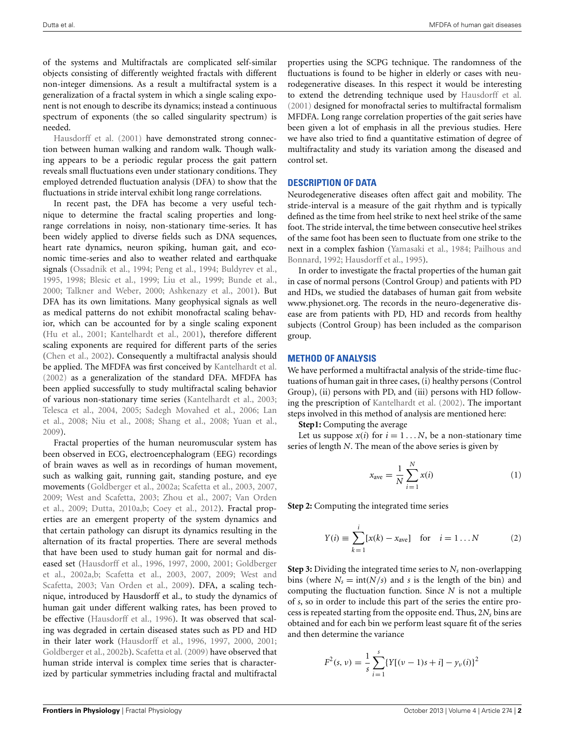of the systems and Multifractals are complicated self-similar objects consisting of differently weighted fractals with different non-integer dimensions. As a result a multifractal system is a generalization of a fractal system in which a single scaling exponent is not enough to describe its dynamics; instead a continuous spectrum of exponents (the so called singularity spectrum) is [needed.](#page-5-0)

Hausdorff et al. [\(2001](#page-5-0)) have demonstrated strong connection between human walking and random walk. Though walking appears to be a periodic regular process the gait pattern reveals small fluctuations even under stationary conditions. They employed detrended fluctuation analysis (DFA) to show that the fluctuations in stride interval exhibit long range correlations.

In recent past, the DFA has become a very useful technique to determine the fractal scaling properties and longrange correlations in noisy, non-stationary time-series. It has been widely applied to diverse fields such as DNA sequences, heart rate dynamics, neuron spiking, human gait, and economic time-series and also to weather related and earthquake signals [\(Ossadnik et al., 1994](#page-6-1); [Peng et al.](#page-6-2), [1994;](#page-6-2) [Buldyrev et al.](#page-5-1), [1995](#page-5-1), [1998](#page-5-2); [Blesic et al., 1999;](#page-5-3) [Liu et al.](#page-6-3), [1999;](#page-6-3) [Bunde et al.](#page-5-4), [2000](#page-5-4); [Talkner and Weber](#page-6-4), [2000](#page-6-4); [Ashkenazy et al.](#page-5-5), [2001](#page-5-5)). But DFA has its own limitations. Many geophysical signals as well as medical patterns do not exhibit monofractal scaling behavior, which can be accounted for by a single scaling exponent [\(Hu et al.](#page-5-6), [2001;](#page-5-6) [Kantelhardt et al., 2001\)](#page-5-7), therefore different scaling exponents are required for different parts of the series [\(Chen et al., 2002](#page-5-8)). Consequently a multifractal analysis should be applied. The MFDFA was first conceived by [Kantelhardt et al.](#page-5-9) [\(2002\)](#page-5-9) as a generalization of the standard DFA. MFDFA has been applied successfully to study multifractal scaling behavior of various non-stationary time series [\(Kantelhardt et al.](#page-5-10), [2003;](#page-5-10) [Telesca et al.](#page-6-5)[,](#page-6-8) [2004,](#page-6-5) [2005;](#page-6-6) [Sadegh Movahed et al., 2006;](#page-6-7) Lan et al., [2008](#page-6-8); [Niu et al.](#page-6-9), [2008](#page-6-9); [Shang et al.](#page-6-10), [2008](#page-6-10); [Yuan et al.](#page-6-11), [2009](#page-6-11)).

Fractal properties of the human neuromuscular system has been observed in ECG, electroencephalogram (EEG) recordings of brain waves as well as in recordings of human movement, such as walking gait, running gait, standing posture, and eye movements [\(Goldberger et al., 2002a](#page-5-11); [Scafetta et al.](#page-6-12), [2003](#page-6-12), [2007,](#page-6-13) [2009](#page-6-14)[;](#page-6-17) [West and Scafetta, 2003](#page-6-15)[;](#page-6-17) [Zhou et al.](#page-6-16)[,](#page-6-17) [2007;](#page-6-16) Van Orden et al., [2009;](#page-6-17) [Dutta, 2010a](#page-5-12)[,b;](#page-5-13) [Coey et al.](#page-5-14), [2012\)](#page-5-14). Fractal properties are an emergent property of the system dynamics and that certain pathology can disrupt its dynamics resulting in the alternation of its fractal properties. There are several methods that have been used to study human gait for normal and diseased [set](#page-5-11) [\(Hausdorff et al.](#page-5-15)[,](#page-5-11) [1996](#page-5-15)[,](#page-5-11) [1997](#page-5-16)[,](#page-5-11) [2000](#page-5-17)[,](#page-5-11) [2001](#page-5-0)[;](#page-5-11) Goldberger et al., [2002a](#page-5-11)[,b](#page-5-18)[;](#page-6-15) [Scafetta et al.](#page-6-12)[,](#page-6-15) [2003](#page-6-12)[,](#page-6-15) [2007](#page-6-13)[,](#page-6-15) [2009](#page-6-14)[;](#page-6-15) West and Scafetta, [2003;](#page-6-15) [Van Orden et al.](#page-6-17), [2009](#page-6-17)). DFA, a scaling technique, introduced by Hausdorff et al., to study the dynamics of human gait under different walking rates, has been proved to be effective [\(Hausdorff et al., 1996\)](#page-5-15). It was observed that scaling was degraded in certain diseased states such as PD and HD in their later work [\(Hausdorff et al., 1996](#page-5-15), [1997](#page-5-16), [2000,](#page-5-17) [2001;](#page-5-0) [Goldberger et al.](#page-5-18), [2002b](#page-5-18)). [Scafetta et al.](#page-6-14) [\(2009](#page-6-14)) have observed that human stride interval is complex time series that is characterized by particular symmetries including fractal and multifractal

properties using the SCPG technique. The randomness of the fluctuations is found to be higher in elderly or cases with neurodegenerative diseases. In this respect it would be interesting to extend the detrending technique used by [Hausdorff et al.](#page-5-0) [\(2001\)](#page-5-0) designed for monofractal series to multifractal formalism MFDFA. Long range correlation properties of the gait series have been given a lot of emphasis in all the previous studies. Here we have also tried to find a quantitative estimation of degree of multifractality and study its variation among the diseased and control set.

#### **DESCRIPTION OF DATA**

Neurodegenerative diseases often affect gait and mobility. The stride-interval is a measure of the gait rhythm and is typically defined as the time from heel strike to next heel strike of the same foot. The stride interval, the time between consecutive heel strikes of the same foot has been seen to fluctuate from one strike to the next in [a](#page-6-19) [complex](#page-6-19) [fashion](#page-6-19) [\(Yamasaki et al.](#page-6-18)[,](#page-6-19) [1984](#page-6-18)[;](#page-6-19) Pailhous and Bonnard, [1992](#page-6-19); [Hausdorff et al., 1995](#page-5-19)).

In order to investigate the fractal properties of the human gait in case of normal persons (Control Group) and patients with PD and HDs, we studied the databases of human gait from website www.[physionet](www.physionet.org).org. The records in the neuro-degenerative disease are from patients with PD, HD and records from healthy subjects (Control Group) has been included as the comparison group.

#### **METHOD OF ANALYSIS**

We have performed a multifractal analysis of the stride-time fluctuations of human gait in three cases, (i) healthy persons (Control Group), (ii) persons with PD, and (iii) persons with HD following the prescription of [Kantelhardt et al.](#page-5-9) [\(2002](#page-5-9)). The important steps involved in this method of analysis are mentioned here:

**Step1:** Computing the average

Let us suppose  $x(i)$  for  $i = 1...N$ , be a non-stationary time series of length *N*. The mean of the above series is given by

$$
x_{\text{ave}} = \frac{1}{N} \sum_{i=1}^{N} x(i)
$$
 (1)

**Step 2:** Computing the integrated time series

$$
Y(i) \equiv \sum_{k=1}^{i} [x(k) - x_{\text{ave}}] \quad \text{for} \quad i = 1...N \tag{2}
$$

**Step 3:** Dividing the integrated time series to *Ns* non-overlapping bins (where  $N_s = \text{int}(N/s)$  and *s* is the length of the bin) and computing the fluctuation function. Since *N* is not a multiple of *s*, so in order to include this part of the series the entire process is repeated starting from the opposite end. Thus, 2*Ns* bins are obtained and for each bin we perform least square fit of the series and then determine the variance

$$
F^{2}(s, \nu) = \frac{1}{s} \sum_{i=1}^{s} \{ Y[(\nu - 1)s + i] - y_{\nu}(i) \}^{2}
$$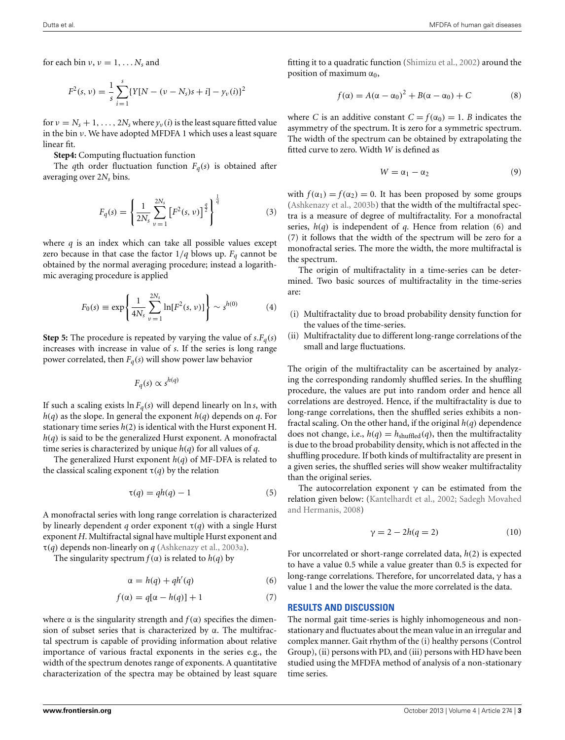for each bin  $v, v = 1, \ldots N_s$  and

$$
F^{2}(s, \nu) = \frac{1}{s} \sum_{i=1}^{s} \{ Y[N - (\nu - N_{s})s + i] - y_{\nu}(i) \}^{2}
$$

for  $v = N_s + 1, \ldots, 2N_s$  where  $y_v(i)$  is the least square fitted value in the bin ν. We have adopted MFDFA 1 which uses a least square linear fit.

**Step4:** Computing fluctuation function

The *q*th order fluctuation function  $F_q(s)$  is obtained after averaging over 2*N<sub>s</sub>* bins.

$$
F_q(s) = \left\{ \frac{1}{2N_s} \sum_{\nu=1}^{2N_s} \left[ F^2(s, \nu) \right]^{\frac{q}{2}} \right\}^{\frac{1}{q}}
$$
(3)

where *q* is an index which can take all possible values except zero because in that case the factor  $1/q$  blows up.  $F_q$  cannot be obtained by the normal averaging procedure; instead a logarithmic averaging procedure is applied

$$
F_0(s) \equiv \exp\left\{\frac{1}{4N_s} \sum_{\nu=1}^{2N_s} \ln[F^2(s,\nu)]\right\} \sim s^{h(0)}\tag{4}
$$

**Step 5:** The procedure is repeated by varying the value of  $s.F_q(s)$ increases with increase in value of *s*. If the series is long range power correlated, then  $F_q(s)$  will show power law behavior

$$
F_q(s) \propto s^{h(q)}
$$

If such a scaling exists  $\ln F_q(s)$  will depend linearly on  $\ln s$ , with *h*(*q*) as the slope. In general the exponent *h*(*q*) depends on *q*. For stationary time series *h*(2) is identical with the Hurst exponent H. *h*(*q*) is said to be the generalized Hurst exponent. A monofractal time series is characterized by unique *h*(*q*) for all values of *q*.

The generalized Hurst exponent *h*(*q*) of MF-DFA is related to the classical scaling exponent  $\tau(q)$  by the relation

$$
\tau(q) = qh(q) - 1\tag{5}
$$

A monofractal series with long range correlation is characterized by linearly dependent *q* order exponent  $\tau(q)$  with a single Hurst exponent *H*. Multifractal signal have multiple Hurst exponent and τ(*q*) depends non-linearly on *q* [\(Ashkenazy et al.](#page-5-20), [2003a](#page-5-20)).

The singularity spectrum  $f(\alpha)$  is related to  $h(q)$  by

$$
\alpha = h(q) + qh'(q) \tag{6}
$$

$$
f(\alpha) = q[\alpha - h(q)] + 1 \tag{7}
$$

where  $\alpha$  is the singularity strength and  $f(\alpha)$  specifies the dimension of subset series that is characterized by  $\alpha$ . The multifractal spectrum is capable of providing information about relative importance of various fractal exponents in the series e.g., the width of the spectrum denotes range of exponents. A quantitative characterization of the spectra may be obtained by least square fitting it to a quadratic function [\(Shimizu et al., 2002](#page-6-20)) around the position of maximum  $\alpha_0$ ,

$$
f(\alpha) = A(\alpha - \alpha_0)^2 + B(\alpha - \alpha_0) + C \tag{8}
$$

where *C* is an additive constant  $C = f(\alpha_0) = 1$ . *B* indicates the asymmetry of the spectrum. It is zero for a symmetric spectrum. The width of the spectrum can be obtained by extrapolating the fitted curve to zero. Width *W* is defined as

$$
W = \alpha_1 - \alpha_2 \tag{9}
$$

with  $f(\alpha_1) = f(\alpha_2) = 0$ . It has been proposed by some groups [\(Ashkenazy et al., 2003b\)](#page-5-21) that the width of the multifractal spectra is a measure of degree of multifractality. For a monofractal series, *h*(*q*) is independent of *q*. Hence from relation (6) and (7) it follows that the width of the spectrum will be zero for a monofractal series. The more the width, the more multifractal is the spectrum.

The origin of multifractality in a time-series can be determined. Two basic sources of multifractality in the time-series are:

- (i) Multifractality due to broad probability density function for the values of the time-series.
- (ii) Multifractality due to different long-range correlations of the small and large fluctuations.

The origin of the multifractality can be ascertained by analyzing the corresponding randomly shuffled series. In the shuffling procedure, the values are put into random order and hence all correlations are destroyed. Hence, if the multifractality is due to long-range correlations, then the shuffled series exhibits a nonfractal scaling. On the other hand, if the original *h*(*q*) dependence does not change, i.e.,  $h(q) = h_{shuffled}(q)$ , then the multifractality is due to the broad probability density, which is not affected in the shuffling procedure. If both kinds of multifractality are present in a given series, the shuffled series will show weaker multifractality than the original series.

The autocorrelation exponent  $\gamma$  can be estimated from the relation given [below:](#page-6-21) [\(Kantelhardt et al.](#page-5-9)[,](#page-6-21) [2002](#page-5-9)[;](#page-6-21) Sadegh Movahed and Hermanis, [2008](#page-6-21))

$$
\gamma = 2 - 2h(q = 2) \tag{10}
$$

For uncorrelated or short-range correlated data, *h*(2) is expected to have a value 0.5 while a value greater than 0.5 is expected for long-range correlations. Therefore, for uncorrelated data, γ has a value 1 and the lower the value the more correlated is the data.

## **RESULTS AND DISCUSSION**

The normal gait time-series is highly inhomogeneous and nonstationary and fluctuates about the mean value in an irregular and complex manner. Gait rhythm of the (i) healthy persons (Control Group), (ii) persons with PD, and (iii) persons with HD have been studied using the MFDFA method of analysis of a non-stationary time series.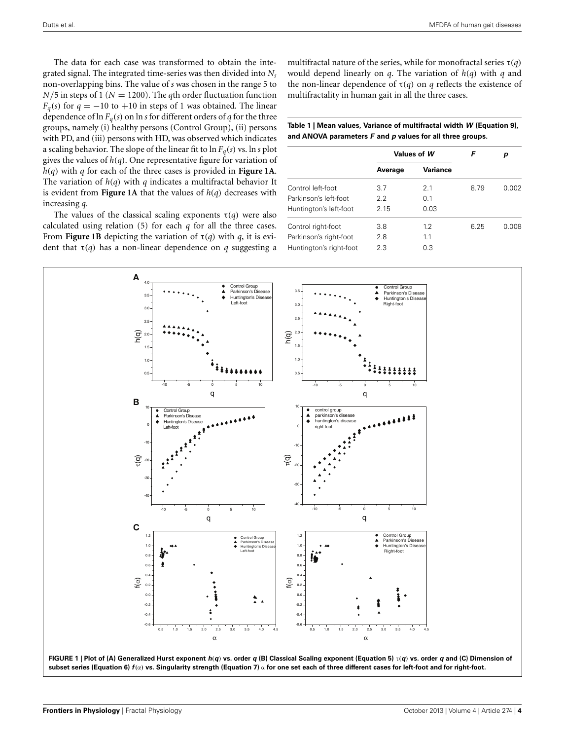The data for each case was transformed to obtain the integrated signal. The integrated time-series was then divided into *Ns* non-overlapping bins. The value of *s* was chosen in the range 5 to  $N/5$  in steps of 1 ( $N = 1200$ ). The *q*th order fluctuation function  $F_q(s)$  for  $q = -10$  to  $+10$  in steps of 1 was obtained. The linear dependence of  $\ln F_q(s)$  on  $\ln s$  for different orders of *q* for the three groups, namely (i) healthy persons (Control Group), (ii) persons with PD, and (iii) persons with HD, was observed which indicates a scaling behavior. The slope of the linear fit to  $\ln F_a(s)$  vs.  $\ln s$  plot gives the values of *h*(*q*). One representative figure for variation of *h*(*q*) with *q* for each of the three cases is provided in **[Figure 1A](#page-3-0)**. The variation of *h*(*q*) with *q* indicates a multifractal behavior It is evident from **[Figure 1A](#page-3-0)** that the values of *h*(*q*) decreases with increasing *q*.

The values of the classical scaling exponents  $\tau(q)$  were also calculated using relation (5) for each *q* for all the three cases. From **[Figure 1B](#page-3-0)** depicting the variation of  $\tau(q)$  with *q*, it is evident that  $\tau(q)$  has a non-linear dependence on *q* suggesting a multifractal nature of the series, while for monofractal series τ(*q*) would depend linearly on *q*. The variation of *h*(*q*) with *q* and the non-linear dependence of  $\tau(q)$  on *q* reflects the existence of multifractality in human gait in all the three cases.

<span id="page-3-1"></span>**Table 1 | Mean values, Variance of multifractal width** *W* **(Equation 9), and ANOVA parameters** *F* **and** *p* **values for all three groups.**

|                         | Values of W |                 | F    | р     |
|-------------------------|-------------|-----------------|------|-------|
|                         | Average     | <b>Variance</b> |      |       |
| Control left-foot       | 3.7         | 2.1             | 8.79 | 0.002 |
| Parkinson's left-foot   | 2.2         | 0.1             |      |       |
| Huntington's left-foot  | 2.15        | 0.03            |      |       |
| Control right-foot      | 3.8         | 1.2             | 6.25 | 0.008 |
| Parkinson's right-foot  | 2.8         | 1.1             |      |       |
| Huntington's right-foot | 2.3         | 0.3             |      |       |

<span id="page-3-0"></span>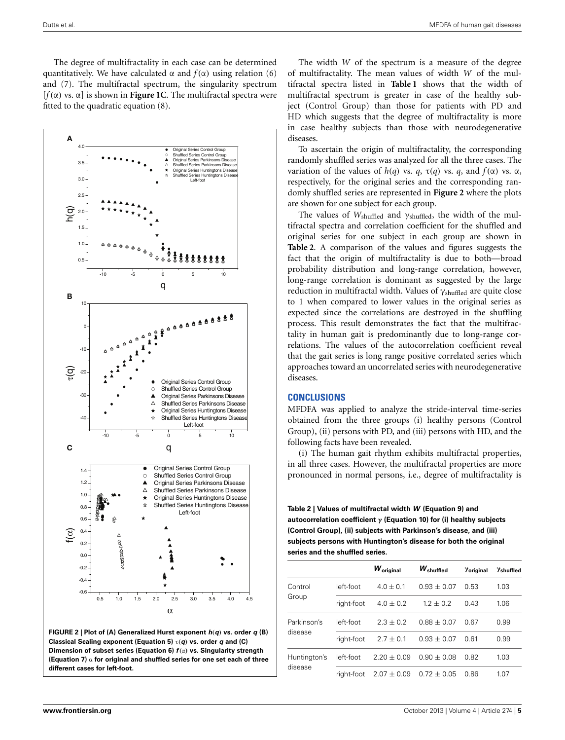The degree of multifractality in each case can be determined quantitatively. We have calculated  $\alpha$  and  $f(\alpha)$  using relation (6) and (7). The multifractal spectrum, the singularity spectrum [*f*(α) vs. α] is shown in **[Figure 1C](#page-3-0)**. The multifractal spectra were fitted to the quadratic equation (8).



<span id="page-4-0"></span>

The width *W* of the spectrum is a measure of the degree of multifractality. The mean values of width *W* of the multifractal spectra listed in **[Table 1](#page-3-1)** shows that the width of multifractal spectrum is greater in case of the healthy subject (Control Group) than those for patients with PD and HD which suggests that the degree of multifractality is more in case healthy subjects than those with neurodegenerative diseases.

To ascertain the origin of multifractality, the corresponding randomly shuffled series was analyzed for all the three cases. The variation of the values of *h*(*q*) vs. *q*, τ(*q*) vs. *q*, and *f*(α) vs. α, respectively, for the original series and the corresponding randomly shuffled series are represented in **[Figure 2](#page-4-0)** where the plots are shown for one subject for each group.

The values of *W*shuffled and γshuffled, the width of the multifractal spectra and correlation coefficient for the shuffled and original series for one subject in each group are shown in **[Table 2](#page-4-1)**. A comparison of the values and figures suggests the fact that the origin of multifractality is due to both—broad probability distribution and long-range correlation, however, long-range correlation is dominant as suggested by the large reduction in multifractal width. Values of  $\gamma_{\text{shuffled}}$  are quite close to 1 when compared to lower values in the original series as expected since the correlations are destroyed in the shuffling process. This result demonstrates the fact that the multifractality in human gait is predominantly due to long-range correlations. The values of the autocorrelation coefficient reveal that the gait series is long range positive correlated series which approaches toward an uncorrelated series with neurodegenerative diseases.

## **CONCLUSIONS**

MFDFA was applied to analyze the stride-interval time-series obtained from the three groups (i) healthy persons (Control Group), (ii) persons with PD, and (iii) persons with HD, and the following facts have been revealed.

(i) The human gait rhythm exhibits multifractal properties, in all three cases. However, the multifractal properties are more pronounced in normal persons, i.e., degree of multifractality is

<span id="page-4-1"></span>**Table 2 | Values of multifractal width** *W* **(Equation 9) and autocorrelation coefficient γ (Equation 10) for (i) healthy subjects (Control Group), (ii) subjects with Parkinson's disease, and (iii) subjects persons with Huntington's disease for both the original series and the shuffled series.**

|                         |            | $W_{original}$  | $W_{\rm shuffled}$ | Yoriginal | $\gamma_{\rm shuffled}$ |
|-------------------------|------------|-----------------|--------------------|-----------|-------------------------|
| Control<br>Group        | left-foot  | $4.0 + 0.1$     | $0.93 + 0.07$      | 0.53      | 1.03                    |
|                         | right-foot | $4.0 + 0.2$     | $1.2 + 0.2$        | 0.43      | 1.06                    |
| Parkinson's<br>disease  | left-foot  | $2.3 + 0.2$     | $0.88 + 0.07$      | 0.67      | 0.99                    |
|                         | right-foot | $2.7 + 0.1$     | $0.93 + 0.07$      | 0 61      | 0.99                    |
| Huntington's<br>disease | left-foot  | $2.20 + 0.09$   | $0.90 + 0.08$      | 0.82      | 1.03                    |
|                         | riaht-foot | $2.07 \pm 0.09$ | $0.72 + 0.05$      | 0.86      | 1.07                    |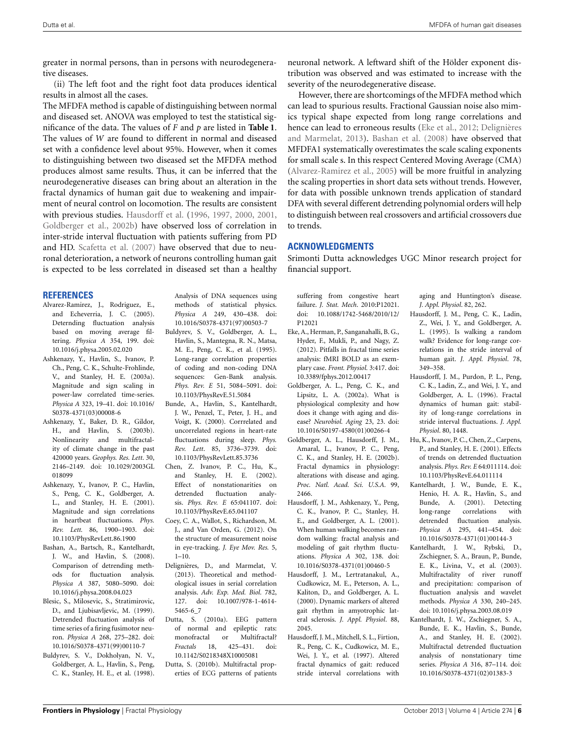greater in normal persons, than in persons with neurodegenerative diseases.

(ii) The left foot and the right foot data produces identical results in almost all the cases.

The MFDFA method is capable of distinguishing between normal and diseased set. ANOVA was employed to test the statistical significance of the data. The values of *F* and *p* are listed in **[Table 1](#page-3-1)**. The values of *W* are found to different in normal and diseased set with a confidence level about 95%. However, when it comes to distinguishing between two diseased set the MFDFA method produces almost same results. Thus, it can be inferred that the neurodegenerative diseases can bring about an alteration in the fractal dynamics of human gait due to weakening and impairment of neural control on locomotion. The results are consistent with previous studies. [Hausdorff et al.](#page-5-15) [\(1996,](#page-5-15) [1997](#page-5-16), [2000,](#page-5-17) [2001,](#page-5-0) [Goldberger et al.](#page-5-18), [2002b\)](#page-5-18) have observed loss of correlation in inter-stride interval fluctuation with patients suffering from PD and HD. [Scafetta et al.](#page-6-13) [\(2007\)](#page-6-13) have observed that due to neuronal deterioration, a network of neurons controlling human gait is expected to be less correlated in diseased set than a healthy

#### **REFERENCES**

- <span id="page-5-25"></span>Alvarez-Ramirez, J., Rodriguez, E., and Echeverria, J. C. (2005). Deternding fluctuation analysis based on moving average filtering. *Physica A* 354, 199. doi: 10.1016/j.physa.2005.02.020
- <span id="page-5-20"></span>Ashkenazy, Y., Havlin, S., Ivanov, P. Ch., Peng, C. K., Schulte-Frohlinde, V., and Stanley, H. E. (2003a). Magnitude and sign scaling in power-law correlated time-series. *Physica A* 323, 19–41. doi: 10.1016/ S0378-4371(03)00008-6
- <span id="page-5-21"></span>Ashkenazy, Y., Baker, D. R., Gildor, H., and Havlin, S. (2003b). Nonlinearity and multifractality of climate change in the past 420000 years. *Geophys. Res. Lett*. 30, 2146–2149. doi: 10.1029/2003GL 018099
- <span id="page-5-5"></span>Ashkenazy, Y., Ivanov, P. C., Havlin, S., Peng, C. K., Goldberger, A. L., and Stanley, H. E. (2001). Magnitude and sign correlations in heartbeat fluctuations. *Phys. Rev. Lett.* 86, 1900–1903. doi: 10.1103/PhysRevLett.86.1900
- <span id="page-5-24"></span>Bashan, A., Bartsch, R., Kantelhardt, J. W., and Havlin, S. (2008). Comparison of detrending methods for fluctuation analysis. *Physica A* 387, 5080–5090. doi: 10.1016/j.physa.2008.04.023
- <span id="page-5-3"></span>Blesic, S., Milosevic, S., Stratimirovic, D., and Ljubisavljevic, M. (1999). Detrended fluctuation analysis of time series of a firing fusimotor neuron. *Physica A* 268, 275–282. doi: 10.1016/S0378-4371(99)00110-7
- <span id="page-5-2"></span>Buldyrev, S. V., Dokholyan, N. V., Goldberger, A. L., Havlin, S., Peng, C. K., Stanley, H. E., et al. (1998).

Analysis of DNA sequences using methods of statistical physics. *Physica A* 249, 430–438. doi: 10.1016/S0378-4371(97)00503-7

- <span id="page-5-1"></span>Buldyrev, S. V., Goldberger, A. L., Havlin, S., Mantegna, R. N., Matsa, M. E., Peng, C. K., et al. (1995). Long-range correlation properties of coding and non-coding DNA sequences: Gen-Bank analysis. *Phys. Rev. E* 51, 5084–5091. doi: 10.1103/PhysRevE.51.5084
- <span id="page-5-4"></span>Bunde, A., Havlin, S., Kantelhardt, J. W., Penzel, T., Peter, J. H., and Voigt, K. (2000). Corrrelated and uncorrelated regions in heart-rate fluctuations during sleep. *Phys. Rev. Lett*. 85, 3736–3739. doi: 10.1103/PhysRevLett.85.3736
- <span id="page-5-8"></span>Chen, Z. Ivanov, P. C., Hu, K., and Stanley, H. E. (2002). Effect of nonstationarities on detrended fluctuation analysis. *Phys. Rev. E* 65:041107. doi: 10.1103/PhysRevE.65.041107
- <span id="page-5-14"></span>Coey, C. A., Wallot, S., Richardson, M. J., and Van Orden, G. (2012). On the structure of measurement noise in eye-tracking. *J. Eye Mov. Res.* 5,  $1 - 10$
- <span id="page-5-23"></span>Delignières, D., and Marmelat, V. (2013). Theoretical and methodological issues in serial correlation analysis. *Adv. Exp. Med. Biol.* 782, 127. doi: 10.1007/978-1-4614- 5465-6\_7
- <span id="page-5-12"></span>Dutta, S. (2010a). EEG pattern of normal and epileptic rats: monofractal or Multifractal? *Fractals* 18, 425–431. doi: 10.1142/S0218348X10005081
- <span id="page-5-13"></span>Dutta, S. (2010b). Multifractal properties of ECG patterns of patients

neuronal network. A leftward shift of the Hölder exponent distribution was observed and was estimated to increase with the severity of the neurodegenerative disease.

However, there are shortcomings of the MFDFA method which can lead to spurious results. Fractional Gaussian noise also mimics typical shape expected from long range correlations and hence can lea[d to erroneous results](#page-5-23) [\(Eke et al.](#page-5-22)[,](#page-5-23) [2012](#page-5-22)[;](#page-5-23) Delignières and Marmelat, [2013\)](#page-5-23). [Bashan et al.](#page-5-24) [\(2008\)](#page-5-24) have observed that MFDFA1 systematically overestimates the scale scaling exponents for small scale s. In this respect Centered Moving Average (CMA) [\(Alvarez-Ramirez et al.](#page-5-25), [2005\)](#page-5-25) will be more fruitful in analyzing the scaling properties in short data sets without trends. However, for data with possible unknown trends application of standard DFA with several different detrending polynomial orders will help to distinguish between real crossovers and artificial crossovers due to trends.

#### **ACKNOWLEDGMENTS**

Srimonti Dutta acknowledges UGC Minor research project for financial support.

suffering from congestive heart failure. *J. Stat. Mech*. 2010:P12021. doi: 10.1088/1742-5468/2010/12/ P12021

- <span id="page-5-22"></span>Eke, A., Herman, P., Sanganahalli, B. G., Hyder, F., Mukli, P., and Nagy, Z. (2012). Pitfalls in fractal time series analysis: fMRI BOLD as an exemplary case. *Front. Physiol.* 3:417. doi: 10.3389/fphys.2012.00417
- <span id="page-5-11"></span>Goldberger, A. L., Peng, C. K., and Lipsitz, L. A. (2002a). What is physiological complexity and how does it change with aging and disease? *Neurobiol. Aging* 23, 23. doi: 10.1016/S0197-4580(01)00266-4
- <span id="page-5-18"></span>Goldberger, A. L., Hausdorff, J. M., Amaral, L., Ivanov, P. C., Peng, C. K., and Stanley, H. E. (2002b). Fractal dynamics in physiology: alterations with disease and aging. *Proc. Natl. Acad. Sci. U.S.A.* 99, 2466.
- <span id="page-5-0"></span>Hausdorff, J. M., Ashkenazy, Y., Peng, C. K., Ivanov, P. C., Stanley, H. E., and Goldberger, A. L. (2001). When human walking becomes random walking: fractal analysis and modeling of gait rhythm fluctuations. *Physica A* 302, 138. doi: 10.1016/S0378-4371(01)00460-5
- <span id="page-5-17"></span>Hausdorff, J. M., Lertratanakul, A., Cudkowicz, M. E., Peterson, A. L., Kaliton, D., and Goldberger, A. L. (2000). Dynamic markers of altered gait rhythm in amyotrophic lateral sclerosis. *J. Appl. Physiol*. 88, 2045.
- <span id="page-5-16"></span>Hausdorff, J. M., Mitchell, S. L., Firtion, R., Peng, C. K., Cudkowicz, M. E., Wei, J. Y., et al. (1997). Altered fractal dynamics of gait: reduced stride interval correlations with

aging and Huntington's disease. *J. Appl. Physiol*. 82, 262.

- <span id="page-5-19"></span>Hausdorff, J. M., Peng, C. K., Ladin, Z., Wei, J. Y., and Goldberger, A. L. (1995). Is walking a random walk? Evidence for long-range correlations in the stride interval of human gait. *J. Appl. Physiol*. 78, 349–358.
- <span id="page-5-15"></span>Hausdorff, J. M., Purdon, P. L., Peng, C. K., Ladin, Z., and Wei, J. Y., and Goldberger, A. L. (1996). Fractal dynamics of human gait: stability of long-range correlations in stride interval fluctuations. *J. Appl. Physiol*. 80, 1448.
- <span id="page-5-6"></span>Hu, K., Ivanov, P. C., Chen, Z., Carpens, P., and Stanley, H. E. (2001). Effects of trends on detrended fluctuation analysis. *Phys. Rev. E* 64:011114. doi: 10.1103/PhysRevE.64.011114
- <span id="page-5-7"></span>Kantelhardt, J. W., Bunde, E. K., Henio, H. A. R., Havlin, S., and Bunde, A. (2001). Detecting long-range correlations with detrended fluctuation analysis. *Physica A* 295, 441–454. doi: 10.1016/S0378-4371(01)00144-3
- <span id="page-5-10"></span>Kantelhardt, J. W., Rybski, D., Zschiegner, S. A., Braun, P., Bunde, E. K., Livina, V., et al. (2003). Multifractality of river runoff and precipitation: comparison of fluctuation analysis and wavelet methods. *Physica A* 330, 240–245. doi: 10.1016/j.physa.2003.08.019
- <span id="page-5-9"></span>Kantelhardt, J. W., Zschiegner, S. A., Bunde, E. K., Havlin, S., Bunde, A., and Stanley, H. E. (2002). Multifractal detrended fluctuation analysis of nonstationary time series. *Physica A* 316, 87–114. doi: 10.1016/S0378-4371(02)01383-3